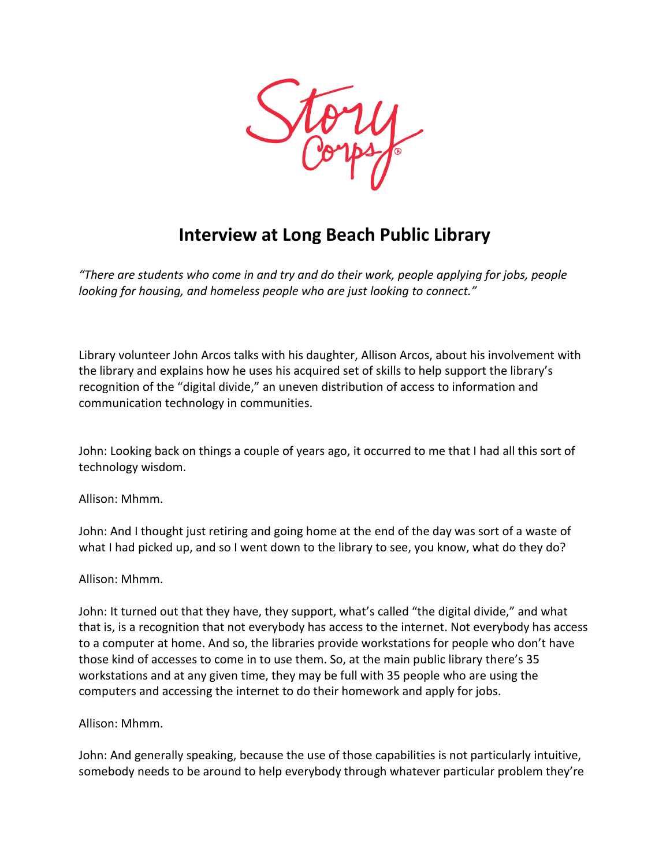

## **Interview at Long Beach Public Library**

*"There are students who come in and try and do their work, people applying for jobs, people looking for housing, and homeless people who are just looking to connect."*

Library volunteer John Arcos talks with his daughter, Allison Arcos, about his involvement with the library and explains how he uses his acquired set of skills to help support the library's recognition of the "digital divide," an uneven distribution of access to information and communication technology in communities.

John: Looking back on things a couple of years ago, it occurred to me that I had all this sort of technology wisdom.

Allison: Mhmm.

John: And I thought just retiring and going home at the end of the day was sort of a waste of what I had picked up, and so I went down to the library to see, you know, what do they do?

Allison: Mhmm.

John: It turned out that they have, they support, what's called "the digital divide," and what that is, is a recognition that not everybody has access to the internet. Not everybody has access to a computer at home. And so, the libraries provide workstations for people who don't have those kind of accesses to come in to use them. So, at the main public library there's 35 workstations and at any given time, they may be full with 35 people who are using the computers and accessing the internet to do their homework and apply for jobs.

Allison: Mhmm.

John: And generally speaking, because the use of those capabilities is not particularly intuitive, somebody needs to be around to help everybody through whatever particular problem they're